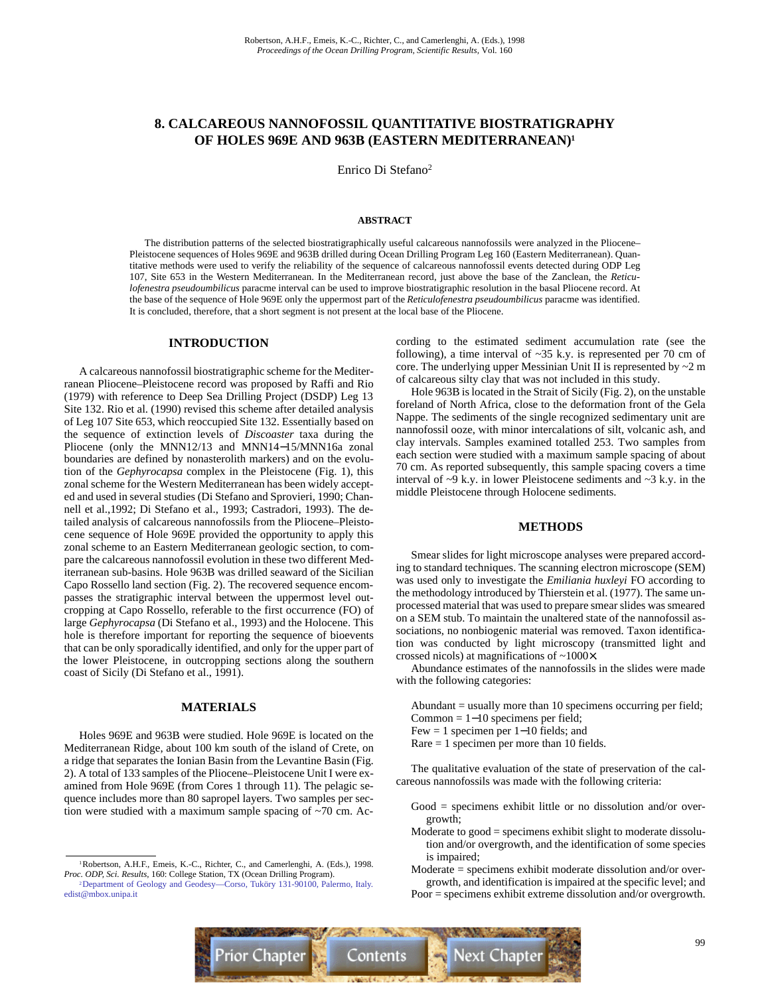# **8. CALCAREOUS NANNOFOSSIL QUANTITATIVE BIOSTRATIGRAPHY OF HOLES 969E AND 963B (EASTERN MEDITERRANEAN)1**

Enrico Di Stefano2

# **ABSTRACT**

The distribution patterns of the selected biostratigraphically useful calcareous nannofossils were analyzed in the Pliocene– Pleistocene sequences of Holes 969E and 963B drilled during Ocean Drilling Program Leg 160 (Eastern Mediterranean). Quantitative methods were used to verify the reliability of the sequence of calcareous nannofossil events detected during ODP Leg 107, Site 653 in the Western Mediterranean. In the Mediterranean record, just above the base of the Zanclean, the *Reticulofenestra pseudoumbilicus* paracme interval can be used to improve biostratigraphic resolution in the basal Pliocene record. At the base of the sequence of Hole 969E only the uppermost part of the *Reticulofenestra pseudoumbilicus* paracme was identified. It is concluded, therefore, that a short segment is not present at the local base of the Pliocene.

# **INTRODUCTION**

A calcareous nannofossil biostratigraphic scheme for the Mediterranean Pliocene–Pleistocene record was proposed by Raffi and Rio (1979) with reference to Deep Sea Drilling Project (DSDP) Leg 13 Site 132. Rio et al. (1990) revised this scheme after detailed analysis of Leg 107 Site 653, which reoccupied Site 132. Essentially based on the sequence of extinction levels of *Discoaster* taxa during the Pliocene (only the MNN12/13 and MNN14−15/MNN16a zonal boundaries are defined by nonasterolith markers) and on the evolution of the *Gephyrocapsa* complex in the Pleistocene (Fig. 1), this zonal scheme for the Western Mediterranean has been widely accepted and used in several studies (Di Stefano and Sprovieri, 1990; Channell et al.,1992; Di Stefano et al., 1993; Castradori, 1993). The detailed analysis of calcareous nannofossils from the Pliocene–Pleistocene sequence of Hole 969E provided the opportunity to apply this zonal scheme to an Eastern Mediterranean geologic section, to compare the calcareous nannofossil evolution in these two different Mediterranean sub-basins. Hole 963B was drilled seaward of the Sicilian Capo Rossello land section (Fig. 2). The recovered sequence encompasses the stratigraphic interval between the uppermost level outcropping at Capo Rossello, referable to the first occurrence (FO) of large *Gephyrocapsa* (Di Stefano et al., 1993) and the Holocene. This hole is therefore important for reporting the sequence of bioevents that can be only sporadically identified, and only for the upper part of the lower Pleistocene, in outcropping sections along the southern coast of Sicily (Di Stefano et al., 1991).

# **MATERIALS**

Holes 969E and 963B were studied. Hole 969E is located on the Mediterranean Ridge, about 100 km south of the island of Crete, on a ridge that separates the Ionian Basin from the Levantine Basin (Fig. 2). A total of 133 samples of the Pliocene–Pleistocene Unit I were examined from Hole 969E (from Cores 1 through 11). The pelagic sequence includes more than 80 sapropel layers. Two samples per section were studied with a maximum sample spacing of  $\sim$ 70 cm. According to the estimated sediment accumulation rate (see the following), a time interval of  $\sim$ 35 k.y. is represented per 70 cm of core. The underlying upper Messinian Unit II is represented by  $\sim$  2 m of calcareous silty clay that was not included in this study.

Hole 963B is located in the Strait of Sicily (Fig. 2), on the unstable foreland of North Africa, close to the deformation front of the Gela Nappe. The sediments of the single recognized sedimentary unit are nannofossil ooze, with minor intercalations of silt, volcanic ash, and clay intervals. Samples examined totalled 253. Two samples from each section were studied with a maximum sample spacing of about 70 cm. As reported subsequently, this sample spacing covers a time interval of  $\sim$ 9 k.y. in lower Pleistocene sediments and  $\sim$ 3 k.y. in the middle Pleistocene through Holocene sediments.

#### **METHODS**

Smear slides for light microscope analyses were prepared according to standard techniques. The scanning electron microscope (SEM) was used only to investigate the *Emiliania huxleyi* FO according to the methodology introduced by Thierstein et al. (1977). The same unprocessed material that was used to prepare smear slides was smeared on a SEM stub. To maintain the unaltered state of the nannofossil associations, no nonbiogenic material was removed. Taxon identification was conducted by light microscopy (transmitted light and crossed nicols) at magnifications of ~1000×.

Abundance estimates of the nannofossils in the slides were made with the following categories:

Abundant = usually more than 10 specimens occurring per field; Common = 1−10 specimens per field;

- Few = 1 specimen per 1−10 fields; and
- Rare = 1 specimen per more than 10 fields.

The qualitative evaluation of the state of preservation of the calcareous nannofossils was made with the following criteria:

- Good = specimens exhibit little or no dissolution and/or overgrowth;
- Moderate to good = specimens exhibit slight to moderate dissolution and/or overgrowth, and the identification of some species is impaired;

Moderate = specimens exhibit moderate dissolution and/or overgrowth, and identification is impaired at the specific level; and Poor = specimens exhibit extreme dissolution and/or overgrowth.



<sup>1</sup>Robertson, A.H.F., Emeis, K.-C., Richter, C., and Camerlenghi, A. (Eds.), 1998. *Proc. ODP, Sci. Results,* 160: College Station, TX (Ocean Drilling Program).

[<sup>2</sup>Department of Geology and Geodesy—Corso, Tuköry 131-90100, Palermo, Italy.](mailto:edist@mbox.unipa.it) edist@mbox.unipa.it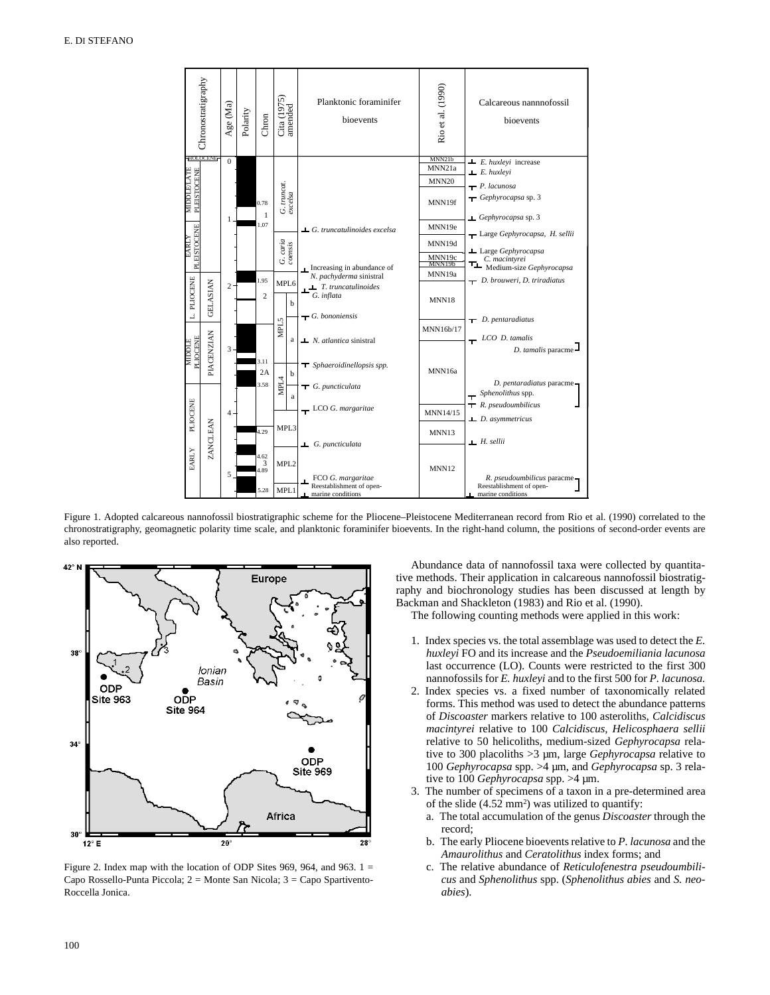

Figure 1. Adopted calcareous nannofossil biostratigraphic scheme for the Pliocene–Pleistocene Mediterranean record from Rio et al. (1990) correlated to the chronostratigraphy, geomagnetic polarity time scale, and planktonic foraminifer bioevents. In the right-hand column, the positions of second-order events are also reported.



Figure 2. Index map with the location of ODP Sites 969, 964, and 963.  $1 =$ Capo Rossello-Punta Piccola; 2 = Monte San Nicola; 3 = Capo Spartivento-Roccella Jonica.

Abundance data of nannofossil taxa were collected by quantitative methods. Their application in calcareous nannofossil biostratigraphy and biochronology studies has been discussed at length by Backman and Shackleton (1983) and Rio et al. (1990).

The following counting methods were applied in this work:

- 1. Index species vs. the total assemblage was used to detect the *E. huxleyi* FO and its increase and the *Pseudoemiliania lacunosa* last occurrence (LO). Counts were restricted to the first 300 nannofossils for *E. huxleyi* and to the first 500 for *P. lacunosa.*
- 2. Index species vs. a fixed number of taxonomically related forms. This method was used to detect the abundance patterns of *Discoaster* markers relative to 100 asteroliths, *Calcidiscus macintyrei* relative to 100 *Calcidiscus, Helicosphaera sellii* relative to 50 helicoliths, medium-sized *Gephyrocapsa* relative to 300 placoliths >3 µm, large *Gephyrocapsa* relative to 100 *Gephyrocapsa* spp. >4 µm, and *Gephyrocapsa* sp. 3 relative to 100 *Gephyrocapsa* spp. >4 µm.
- 3. The number of specimens of a taxon in a pre-determined area of the slide  $(4.52 \text{ mm}^2)$  was utilized to quantify:
	- a. The total accumulation of the genus *Discoaster* through the record;
	- b. The early Pliocene bioevents relative to *P. lacunosa* and the *Amaurolithus* and *Ceratolithus* index forms; and
	- c. The relative abundance of *Reticulofenestra pseudoumbilicus* and *Sphenolithus* spp. (*Sphenolithus abies* and *S. neoabies*).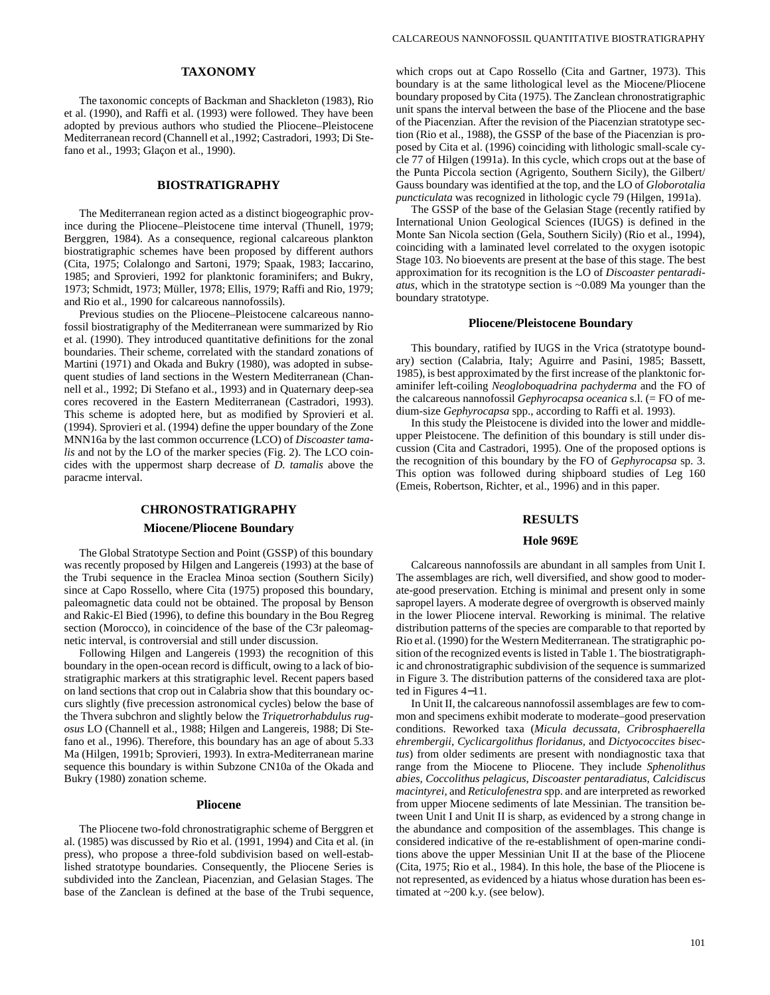# **TAXONOMY**

The taxonomic concepts of Backman and Shackleton (1983), Rio et al. (1990), and Raffi et al. (1993) were followed. They have been adopted by previous authors who studied the Pliocene–Pleistocene Mediterranean record (Channell et al.,1992; Castradori, 1993; Di Stefano et al., 1993; Glaçon et al., 1990).

# **BIOSTRATIGRAPHY**

The Mediterranean region acted as a distinct biogeographic province during the Pliocene–Pleistocene time interval (Thunell, 1979; Berggren, 1984). As a consequence, regional calcareous plankton biostratigraphic schemes have been proposed by different authors (Cita, 1975; Colalongo and Sartoni, 1979; Spaak, 1983; Iaccarino, 1985; and Sprovieri, 1992 for planktonic foraminifers; and Bukry, 1973; Schmidt, 1973; Müller, 1978; Ellis, 1979; Raffi and Rio, 1979; and Rio et al., 1990 for calcareous nannofossils).

Previous studies on the Pliocene–Pleistocene calcareous nannofossil biostratigraphy of the Mediterranean were summarized by Rio et al. (1990). They introduced quantitative definitions for the zonal boundaries. Their scheme, correlated with the standard zonations of Martini (1971) and Okada and Bukry (1980), was adopted in subsequent studies of land sections in the Western Mediterranean (Channell et al., 1992; Di Stefano et al., 1993) and in Quaternary deep-sea cores recovered in the Eastern Mediterranean (Castradori, 1993). This scheme is adopted here, but as modified by Sprovieri et al. (1994). Sprovieri et al. (1994) define the upper boundary of the Zone MNN16a by the last common occurrence (LCO) of *Discoaster tamalis* and not by the LO of the marker species (Fig. 2). The LCO coincides with the uppermost sharp decrease of *D. tamalis* above the paracme interval.

### **CHRONOSTRATIGRAPHY**

### **Miocene/Pliocene Boundary**

The Global Stratotype Section and Point (GSSP) of this boundary was recently proposed by Hilgen and Langereis (1993) at the base of the Trubi sequence in the Eraclea Minoa section (Southern Sicily) since at Capo Rossello, where Cita (1975) proposed this boundary, paleomagnetic data could not be obtained. The proposal by Benson and Rakic-El Bied (1996), to define this boundary in the Bou Regreg section (Morocco), in coincidence of the base of the C3r paleomagnetic interval, is controversial and still under discussion.

Following Hilgen and Langereis (1993) the recognition of this boundary in the open-ocean record is difficult, owing to a lack of biostratigraphic markers at this stratigraphic level. Recent papers based on land sections that crop out in Calabria show that this boundary occurs slightly (five precession astronomical cycles) below the base of the Thvera subchron and slightly below the *Triquetrorhabdulus rugosus* LO (Channell et al., 1988; Hilgen and Langereis, 1988; Di Stefano et al., 1996). Therefore, this boundary has an age of about 5.33 Ma (Hilgen, 1991b; Sprovieri, 1993). In extra-Mediterranean marine sequence this boundary is within Subzone CN10a of the Okada and Bukry (1980) zonation scheme.

#### **Pliocene**

The Pliocene two-fold chronostratigraphic scheme of Berggren et al. (1985) was discussed by Rio et al. (1991, 1994) and Cita et al. (in press), who propose a three-fold subdivision based on well-established stratotype boundaries. Consequently, the Pliocene Series is subdivided into the Zanclean, Piacenzian, and Gelasian Stages. The base of the Zanclean is defined at the base of the Trubi sequence, which crops out at Capo Rossello (Cita and Gartner, 1973). This boundary is at the same lithological level as the Miocene/Pliocene boundary proposed by Cita (1975). The Zanclean chronostratigraphic unit spans the interval between the base of the Pliocene and the base of the Piacenzian. After the revision of the Piacenzian stratotype section (Rio et al., 1988), the GSSP of the base of the Piacenzian is proposed by Cita et al. (1996) coinciding with lithologic small-scale cycle 77 of Hilgen (1991a). In this cycle, which crops out at the base of the Punta Piccola section (Agrigento, Southern Sicily), the Gilbert/ Gauss boundary was identified at the top, and the LO of *Globorotalia puncticulata* was recognized in lithologic cycle 79 (Hilgen, 1991a).

The GSSP of the base of the Gelasian Stage (recently ratified by International Union Geological Sciences (IUGS) is defined in the Monte San Nicola section (Gela, Southern Sicily) (Rio et al., 1994), coinciding with a laminated level correlated to the oxygen isotopic Stage 103. No bioevents are present at the base of this stage. The best approximation for its recognition is the LO of *Discoaster pentaradiatus,* which in the stratotype section is ~0.089 Ma younger than the boundary stratotype.

### **Pliocene/Pleistocene Boundary**

This boundary, ratified by IUGS in the Vrica (stratotype boundary) section (Calabria, Italy; Aguirre and Pasini, 1985; Bassett, 1985), is best approximated by the first increase of the planktonic foraminifer left-coiling *Neogloboquadrina pachyderma* and the FO of the calcareous nannofossil *Gephyrocapsa oceanica* s.l. (= FO of medium-size *Gephyrocapsa* spp., according to Raffi et al. 1993).

In this study the Pleistocene is divided into the lower and middleupper Pleistocene. The definition of this boundary is still under discussion (Cita and Castradori, 1995). One of the proposed options is the recognition of this boundary by the FO of *Gephyrocapsa* sp. 3. This option was followed during shipboard studies of Leg 160 (Emeis, Robertson, Richter, et al., 1996) and in this paper.

#### **RESULTS**

#### **Hole 969E**

Calcareous nannofossils are abundant in all samples from Unit I. The assemblages are rich, well diversified, and show good to moderate-good preservation. Etching is minimal and present only in some sapropel layers. A moderate degree of overgrowth is observed mainly in the lower Pliocene interval. Reworking is minimal. The relative distribution patterns of the species are comparable to that reported by Rio et al. (1990) for the Western Mediterranean. The stratigraphic position of the recognized events is listed in Table 1. The biostratigraphic and chronostratigraphic subdivision of the sequence is summarized in Figure 3. The distribution patterns of the considered taxa are plotted in Figures 4−11.

In Unit II, the calcareous nannofossil assemblages are few to common and specimens exhibit moderate to moderate–good preservation conditions. Reworked taxa (*Micula decussata, Cribrosphaerella ehrembergii, Cyclicargolithus floridanus,* and *Dictyococcites bisectus*) from older sediments are present with nondiagnostic taxa that range from the Miocene to Pliocene. They include *Sphenolithus abies, Coccolithus pelagicus, Discoaster pentaradiatus, Calcidiscus macintyrei,* and *Reticulofenestra* spp. and are interpreted as reworked from upper Miocene sediments of late Messinian. The transition between Unit I and Unit II is sharp, as evidenced by a strong change in the abundance and composition of the assemblages. This change is considered indicative of the re-establishment of open-marine conditions above the upper Messinian Unit II at the base of the Pliocene (Cita, 1975; Rio et al., 1984). In this hole, the base of the Pliocene is not represented, as evidenced by a hiatus whose duration has been estimated at ~200 k.y. (see below).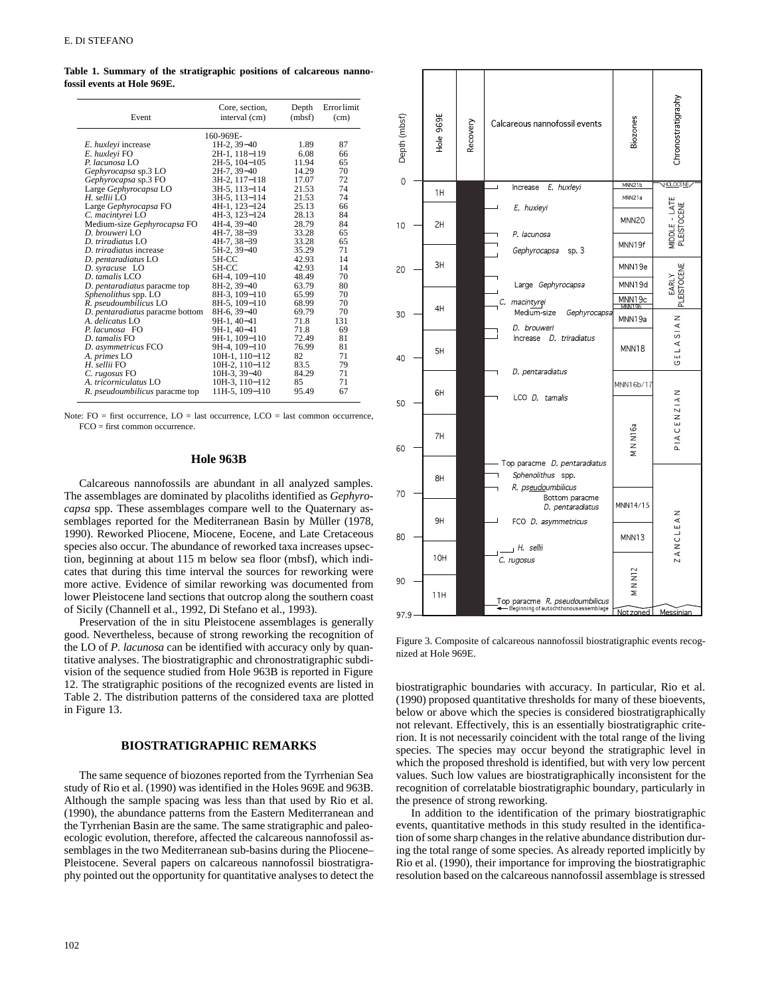**Table 1. Summary of the stratigraphic positions of calcareous nannofossil events at Hole 969E.**

| Event                               | Core, section,<br>interval (cm) | Depth<br>(mbf) | <b>Error</b> limit<br>(cm) |
|-------------------------------------|---------------------------------|----------------|----------------------------|
|                                     | 160-969E-                       |                |                            |
| E. huxleyi increase                 | 1H-2, 39-40                     | 1.89           | 87                         |
| E. huxleyi FO                       | 2H-1, 118-119                   | 6.08           | 66                         |
| P. lacunosa LO                      | 2H-5, 104-105                   | 11.94          | 65                         |
| Gephyrocapsa sp.3 LO                | 2H-7, 39-40                     | 14.29          | 70                         |
| Gephyrocapsa sp.3 FO                | 3H-2, 117-118                   | 17.07          | 72                         |
| Large Gephyrocapsa LO               | 3H-5, 113-114                   | 21.53          | 74                         |
| $H.$ sellii $LO$                    | 3H-5, 113-114                   | 21.53          | 74                         |
| Large Gephyrocapsa FO               | 4H-1, 123-124                   | 25.13          | 66                         |
| C. macintyrei LO                    | 4H-3, 123-124                   | 28.13          | 84                         |
| Medium-size Gephyrocapsa FO         | $4H-4.39-40$                    | 28.79          | 84                         |
| $D.$ brouweri LO                    | 4H-7, 38-39                     | 33.28          | 65                         |
| D. triradiatus LO                   | 4H-7, 38-39                     | 33.28          | 65                         |
| D. triradiatus increase             | 5H-2, 39-40                     | 35.29          | 71                         |
| D. pentaradiatus LO                 | 5H-CC                           | 42.93          | 14                         |
| D. syracuse LO                      | 5H-CC                           | 42.93          | 14                         |
| D. tamalis LCO                      | 6H-4, 109-110                   | 48.49          | 70                         |
| D. <i>pentaradiatus</i> paracme top | 8H-2, 39–40                     | 63.79          | 80                         |
| Sphenolithus spp. LO                | 8H-3, 109-110                   | 65.99          | 70                         |
| R. pseudoumbilicus LO               | 8H-5, 109-110                   | 68.99          | 70                         |
| D. pentaradiatus paracme bottom     | 8H-6, 39-40                     | 69.79          | 70                         |
| A. delicatus LO                     | 9H-1, 40-41                     | 71.8           | 131                        |
| P. lacunosa FO                      | 9H-1, 40-41                     | 71.8           | 69                         |
| D. tamalis FO                       | 9H-1, 109-110                   | 72.49          | 81                         |
| D. asymmetricus FCO                 | 9H-4, 109-110                   | 76.99          | 81                         |
| A. primes LO                        | 10H-1, 110-112                  | 82             | 71                         |
| H. sellii FO                        | 10H-2, 110-112                  | 83.5           | 79                         |
| C. rugosus FO                       | 10H-3, 39-40                    | 84.29          | 71                         |
| A. tricorniculatus LO               | 10H-3, 110-112                  | 85             | 71                         |
| R. pseudoumbilicus paracme top      | 11H-5, 109-110                  | 95.49          | 67                         |

Note:  $FO =$  first occurrence,  $LO =$  last occurrence,  $LCO =$  last common occurrence.  $FCO =$  first common occurrence.

# **Hole 963B**

Calcareous nannofossils are abundant in all analyzed samples. The assemblages are dominated by placoliths identified as *Gephyrocapsa* spp. These assemblages compare well to the Quaternary assemblages reported for the Mediterranean Basin by Müller (1978, 1990). Reworked Pliocene, Miocene, Eocene, and Late Cretaceous species also occur. The abundance of reworked taxa increases upsection, beginning at about 115 m below sea floor (mbsf), which indicates that during this time interval the sources for reworking were more active. Evidence of similar reworking was documented from lower Pleistocene land sections that outcrop along the southern coast of Sicily (Channell et al., 1992, Di Stefano et al., 1993).

Preservation of the in situ Pleistocene assemblages is generally good. Nevertheless, because of strong reworking the recognition of the LO of *P. lacunosa* can be identified with accuracy only by quantitative analyses. The biostratigraphic and chronostratigraphic subdivision of the sequence studied from Hole 963B is reported in Figure 12. The stratigraphic positions of the recognized events are listed in Table 2. The distribution patterns of the considered taxa are plotted in Figure 13.

# **BIOSTRATIGRAPHIC REMARKS**

The same sequence of biozones reported from the Tyrrhenian Sea study of Rio et al. (1990) was identified in the Holes 969E and 963B. Although the sample spacing was less than that used by Rio et al. (1990), the abundance patterns from the Eastern Mediterranean and the Tyrrhenian Basin are the same. The same stratigraphic and paleoecologic evolution, therefore, affected the calcareous nannofossil assemblages in the two Mediterranean sub-basins during the Pliocene– Pleistocene. Several papers on calcareous nannofossil biostratigraphy pointed out the opportunity for quantitative analyses to detect the



Figure 3. Composite of calcareous nannofossil biostratigraphic events recognized at Hole 969E.

biostratigraphic boundaries with accuracy. In particular, Rio et al. (1990) proposed quantitative thresholds for many of these bioevents, below or above which the species is considered biostratigraphically not relevant. Effectively, this is an essentially biostratigraphic criterion. It is not necessarily coincident with the total range of the living species. The species may occur beyond the stratigraphic level in which the proposed threshold is identified, but with very low percent values. Such low values are biostratigraphically inconsistent for the recognition of correlatable biostratigraphic boundary, particularly in the presence of strong reworking.

In addition to the identification of the primary biostratigraphic events, quantitative methods in this study resulted in the identification of some sharp changes in the relative abundance distribution during the total range of some species. As already reported implicitly by Rio et al. (1990), their importance for improving the biostratigraphic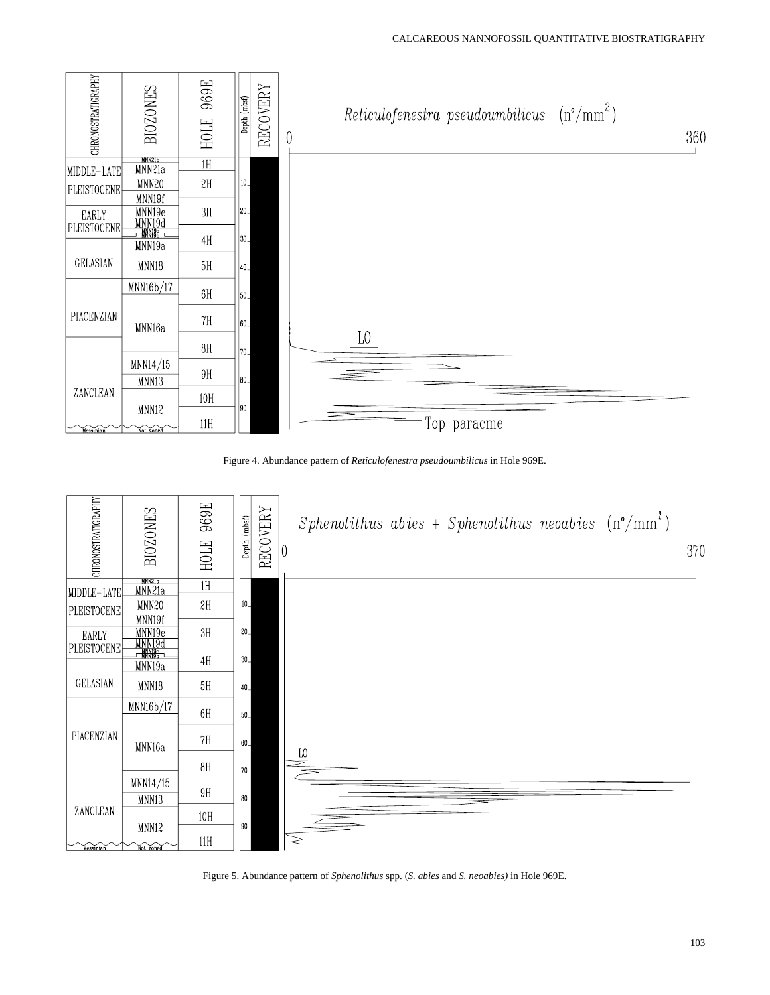

Figure 4. Abundance pattern of *Reticulofenestra pseudoumbilicus* in Hole 969E.



Figure 5. Abundance pattern of *Sphenolithus* spp. (*S. abies* and *S. neoabies)* in Hole 969E.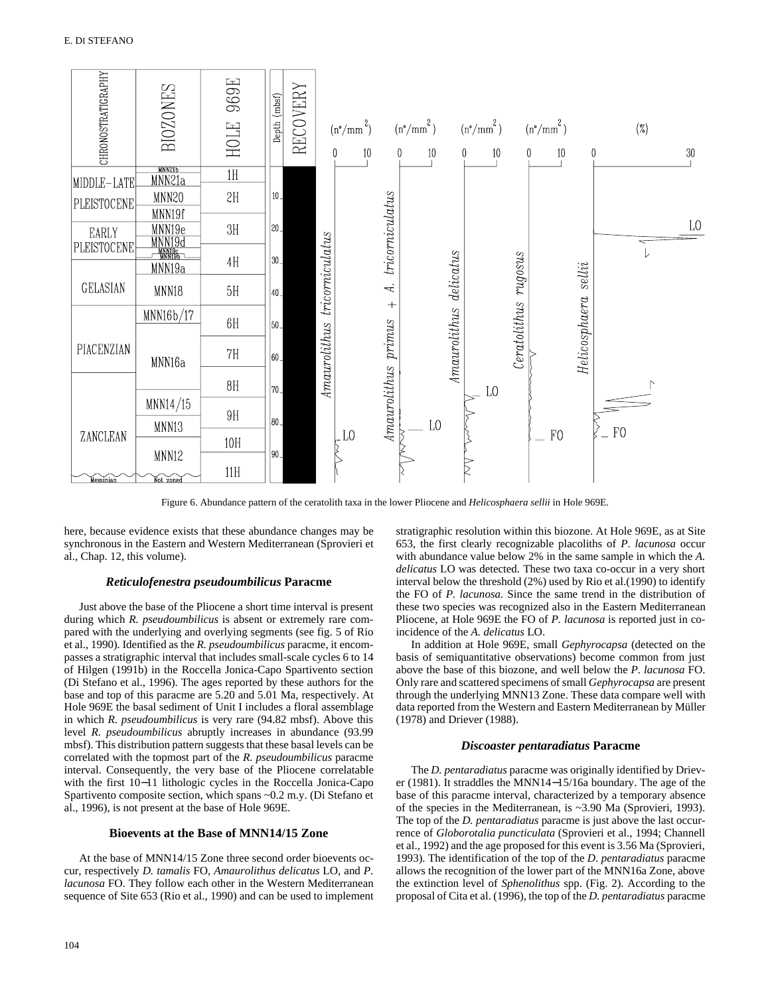

Figure 6. Abundance pattern of the ceratolith taxa in the lower Pliocene and *Helicosphaera sellii* in Hole 969E.

here, because evidence exists that these abundance changes may be synchronous in the Eastern and Western Mediterranean (Sprovieri et al., Chap. 12, this volume).

# *Reticulofenestra pseudoumbilicus* **Paracme**

Just above the base of the Pliocene a short time interval is present during which *R. pseudoumbilicus* is absent or extremely rare compared with the underlying and overlying segments (see fig. 5 of Rio et al., 1990). Identified as the *R. pseudoumbilicus* paracme, it encompasses a stratigraphic interval that includes small-scale cycles 6 to 14 of Hilgen (1991b) in the Roccella Jonica-Capo Spartivento section (Di Stefano et al., 1996). The ages reported by these authors for the base and top of this paracme are 5.20 and 5.01 Ma, respectively. At Hole 969E the basal sediment of Unit I includes a floral assemblage in which *R. pseudoumbilicus* is very rare (94.82 mbsf). Above this level *R. pseudoumbilicus* abruptly increases in abundance (93.99 mbsf). This distribution pattern suggests that these basal levels can be correlated with the topmost part of the *R. pseudoumbilicus* paracme interval. Consequently, the very base of the Pliocene correlatable with the first 10−11 lithologic cycles in the Roccella Jonica-Capo Spartivento composite section, which spans ~0.2 m.y. (Di Stefano et al., 1996), is not present at the base of Hole 969E.

# **Bioevents at the Base of MNN14/15 Zone**

At the base of MNN14/15 Zone three second order bioevents occur, respectively *D. tamalis* FO, *Amaurolithus delicatus* LO, and *P. lacunosa* FO. They follow each other in the Western Mediterranean sequence of Site 653 (Rio et al., 1990) and can be used to implement

stratigraphic resolution within this biozone. At Hole 969E, as at Site 653, the first clearly recognizable placoliths of *P. lacunosa* occur with abundance value below 2% in the same sample in which the *A. delicatus* LO was detected. These two taxa co-occur in a very short interval below the threshold (2%) used by Rio et al.(1990) to identify the FO of *P. lacunosa.* Since the same trend in the distribution of these two species was recognized also in the Eastern Mediterranean Pliocene, at Hole 969E the FO of *P. lacunosa* is reported just in coincidence of the *A. delicatus* LO.

In addition at Hole 969E, small *Gephyrocapsa* (detected on the basis of semiquantitative observations) become common from just above the base of this biozone, and well below the *P. lacunosa* FO. Only rare and scattered specimens of small *Gephyrocapsa* are present through the underlying MNN13 Zone. These data compare well with data reported from the Western and Eastern Mediterranean by Müller (1978) and Driever (1988).

### *Discoaster pentaradiatus* **Paracme**

The *D. pentaradiatus* paracme was originally identified by Driever (1981). It straddles the MNN14−15/16a boundary. The age of the base of this paracme interval, characterized by a temporary absence of the species in the Mediterranean, is ~3.90 Ma (Sprovieri, 1993). The top of the *D. pentaradiatus* paracme is just above the last occurrence of *Globorotalia puncticulata* (Sprovieri et al., 1994; Channell et al., 1992) and the age proposed for this event is 3.56 Ma (Sprovieri, 1993). The identification of the top of the *D. pentaradiatus* paracme allows the recognition of the lower part of the MNN16a Zone, above the extinction level of *Sphenolithus* spp. (Fig. 2). According to the proposal of Cita et al. (1996), the top of the *D. pentaradiatus* paracme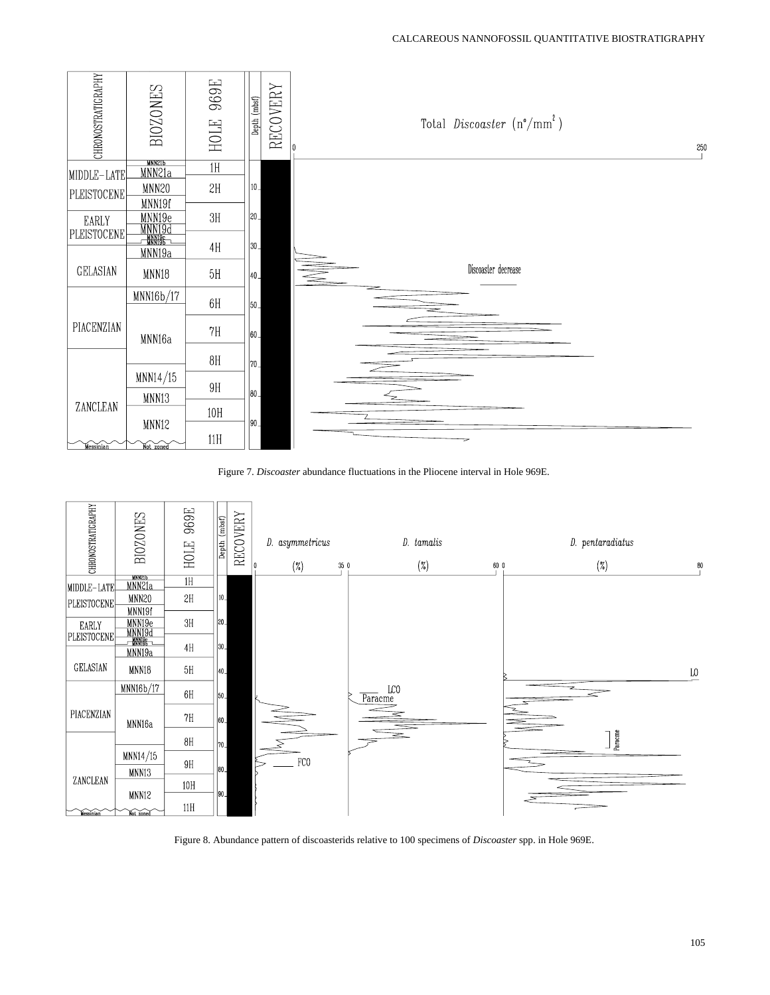

Figure 7. *Discoaster* abundance fluctuations in the Pliocene interval in Hole 969E.



Figure 8. Abundance pattern of discoasterids relative to 100 specimens of *Discoaster* spp. in Hole 969E.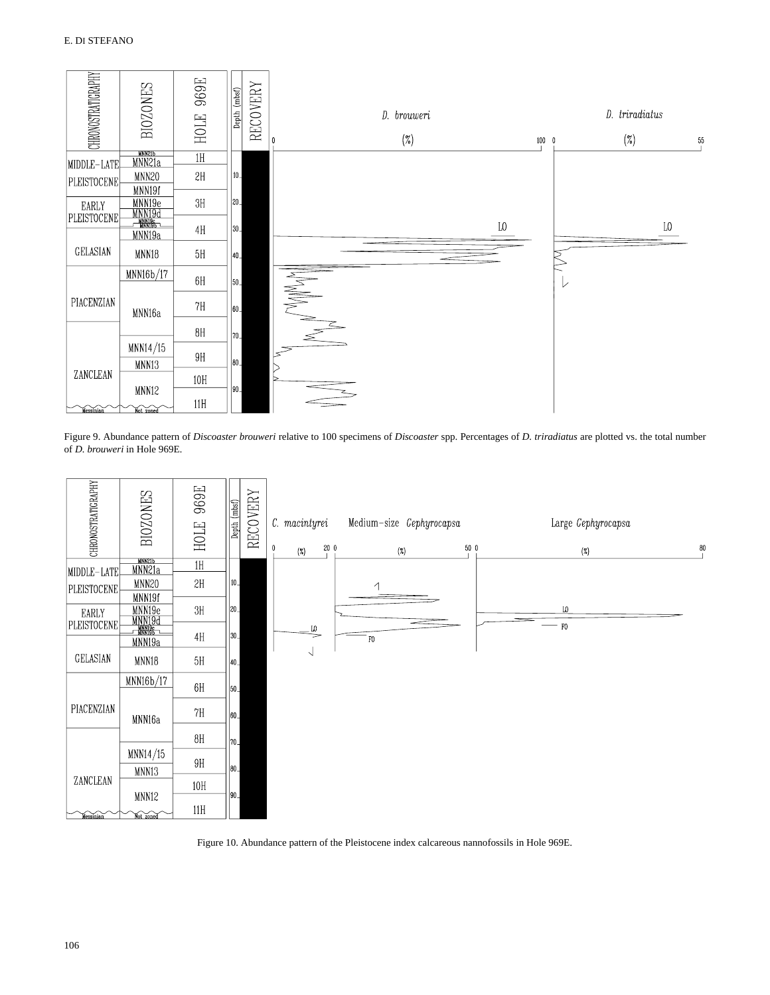

Figure 9. Abundance pattern of *Discoaster brouweri* relative to 100 specimens of *Discoaster* spp. Percentages of *D. triradiatus* are plotted vs. the total number of *D. brouweri* in Hole 969E*.*



Figure 10. Abundance pattern of the Pleistocene index calcareous nannofossils in Hole 969E.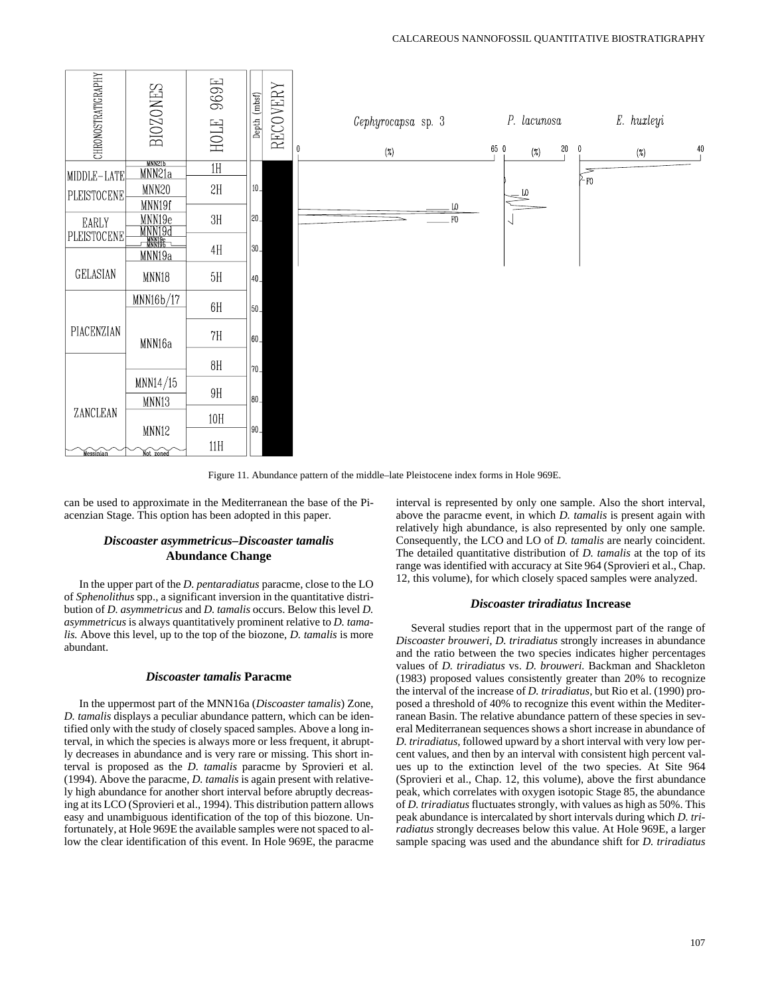

Figure 11. Abundance pattern of the middle–late Pleistocene index forms in Hole 969E.

can be used to approximate in the Mediterranean the base of the Piacenzian Stage. This option has been adopted in this paper.

# *Discoaster asymmetricus–Discoaster tamalis* **Abundance Change**

In the upper part of the *D. pentaradiatus* paracme, close to the LO of *Sphenolithus* spp., a significant inversion in the quantitative distribution of *D. asymmetricus* and *D. tamalis* occurs. Below this level *D. asymmetricus* is always quantitatively prominent relative to *D. tamalis.* Above this level, up to the top of the biozone, *D. tamalis* is more abundant.

#### *Discoaster tamalis* **Paracme**

In the uppermost part of the MNN16a (*Discoaster tamalis*) Zone, *D. tamalis* displays a peculiar abundance pattern, which can be identified only with the study of closely spaced samples. Above a long interval, in which the species is always more or less frequent, it abruptly decreases in abundance and is very rare or missing. This short interval is proposed as the *D. tamalis* paracme by Sprovieri et al. (1994). Above the paracme, *D. tamalis* is again present with relatively high abundance for another short interval before abruptly decreasing at its LCO (Sprovieri et al., 1994). This distribution pattern allows easy and unambiguous identification of the top of this biozone. Unfortunately, at Hole 969E the available samples were not spaced to allow the clear identification of this event. In Hole 969E, the paracme interval is represented by only one sample. Also the short interval, above the paracme event, in which *D. tamalis* is present again with relatively high abundance, is also represented by only one sample. Consequently, the LCO and LO of *D. tamalis* are nearly coincident. The detailed quantitative distribution of *D. tamalis* at the top of its range was identified with accuracy at Site 964 (Sprovieri et al., Chap. 12, this volume), for which closely spaced samples were analyzed.

# *Discoaster triradiatus* **Increase**

Several studies report that in the uppermost part of the range of *Discoaster brouweri, D. triradiatus* strongly increases in abundance and the ratio between the two species indicates higher percentages values of *D. triradiatus* vs. *D. brouweri.* Backman and Shackleton (1983) proposed values consistently greater than 20% to recognize the interval of the increase of *D. triradiatus,* but Rio et al. (1990) proposed a threshold of 40% to recognize this event within the Mediterranean Basin. The relative abundance pattern of these species in several Mediterranean sequences shows a short increase in abundance of *D. triradiatus,* followed upward by a short interval with very low percent values, and then by an interval with consistent high percent values up to the extinction level of the two species. At Site 964 (Sprovieri et al., Chap. 12, this volume), above the first abundance peak, which correlates with oxygen isotopic Stage 85, the abundance of *D. triradiatus* fluctuates strongly, with values as high as 50%. This peak abundance is intercalated by short intervals during which *D. triradiatus* strongly decreases below this value. At Hole 969E, a larger sample spacing was used and the abundance shift for *D. triradiatus*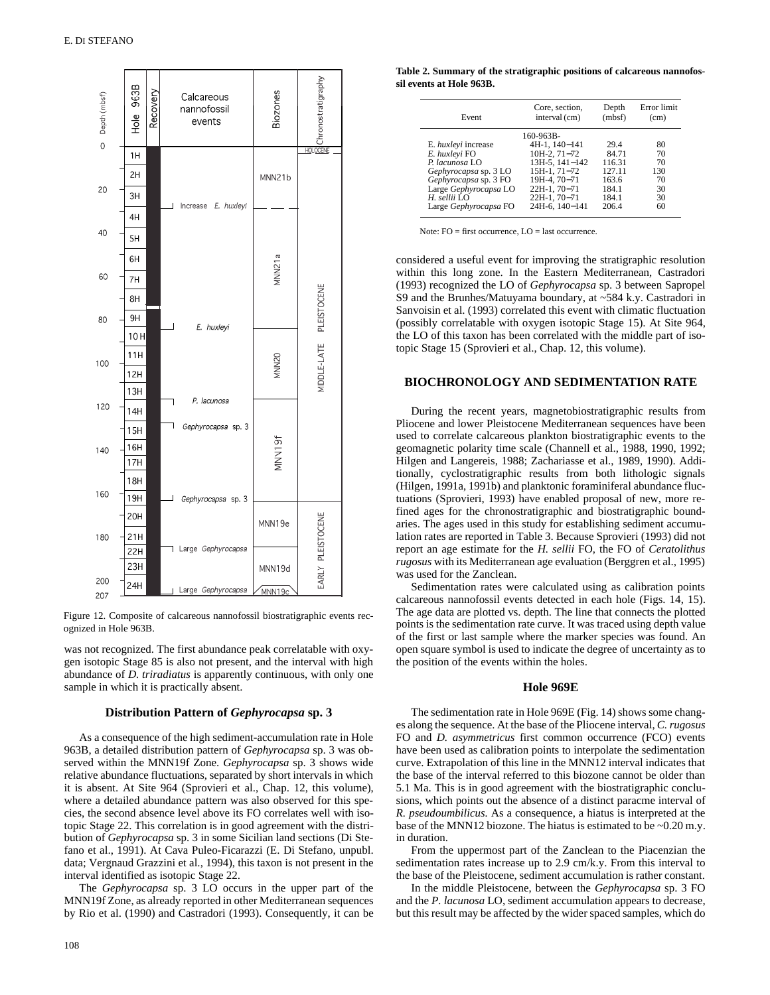

Figure 12. Composite of calcareous nannofossil biostratigraphic events recognized in Hole 963B.

was not recognized. The first abundance peak correlatable with oxygen isotopic Stage 85 is also not present, and the interval with high abundance of *D. triradiatus* is apparently continuous, with only one sample in which it is practically absent.

### **Distribution Pattern of** *Gephyrocapsa* **sp. 3**

As a consequence of the high sediment-accumulation rate in Hole 963B, a detailed distribution pattern of *Gephyrocapsa* sp. 3 was observed within the MNN19f Zone. *Gephyrocapsa* sp. 3 shows wide relative abundance fluctuations, separated by short intervals in which it is absent. At Site 964 (Sprovieri et al., Chap. 12, this volume), where a detailed abundance pattern was also observed for this species, the second absence level above its FO correlates well with isotopic Stage 22. This correlation is in good agreement with the distribution of *Gephyrocapsa* sp. 3 in some Sicilian land sections (Di Stefano et al., 1991). At Cava Puleo-Ficarazzi (E. Di Stefano, unpubl. data; Vergnaud Grazzini et al., 1994), this taxon is not present in the interval identified as isotopic Stage 22.

The *Gephyrocapsa* sp. 3 LO occurs in the upper part of the MNN19f Zone, as already reported in other Mediterranean sequences by Rio et al. (1990) and Castradori (1993). Consequently, it can be

**Table 2. Summary of the stratigraphic positions of calcareous nannofossil events at Hole 963B.**

| Event                 | Core, section,<br>interval (cm) | Depth<br>(mbsf) | Error limit<br>(cm) |
|-----------------------|---------------------------------|-----------------|---------------------|
|                       | 160-963B-                       |                 |                     |
| E. huxleyi increase   | 4H-1, 140-141                   | 29.4            | 80                  |
| E. huxleyi FO         | $10H-2$ , $71-72$               | 84.71           | 70                  |
| $P.$ lacunosa LO      | $13H-5.141-142$                 | 116.31          | 70                  |
| Gephyrocapsa sp. 3 LO | 15H-1, 71-72                    | 127 11          | 130                 |
| Gephyrocapsa sp. 3 FO | 19H-4, 70-71                    | 163.6           | 70                  |
| Large Gephyrocapsa LO | 22H-1, 70-71                    | 184.1           | 30                  |
| $H.$ sellii $LO$      | 22H-1, 70-71                    | 184.1           | 30                  |
| Large Gephyrocapsa FO | 24H-6, 140-141                  | 206.4           | 60                  |

Note:  $FO = first occurrence$ ,  $LO = last occurrence$ .

considered a useful event for improving the stratigraphic resolution within this long zone. In the Eastern Mediterranean, Castradori (1993) recognized the LO of *Gephyrocapsa* sp. 3 between Sapropel S9 and the Brunhes/Matuyama boundary, at ~584 k.y. Castradori in Sanvoisin et al. (1993) correlated this event with climatic fluctuation (possibly correlatable with oxygen isotopic Stage 15). At Site 964, the LO of this taxon has been correlated with the middle part of isotopic Stage 15 (Sprovieri et al., Chap. 12, this volume).

#### **BIOCHRONOLOGY AND SEDIMENTATION RATE**

During the recent years, magnetobiostratigraphic results from Pliocene and lower Pleistocene Mediterranean sequences have been used to correlate calcareous plankton biostratigraphic events to the geomagnetic polarity time scale (Channell et al., 1988, 1990, 1992; Hilgen and Langereis, 1988; Zachariasse et al., 1989, 1990). Additionally, cyclostratigraphic results from both lithologic signals (Hilgen, 1991a, 1991b) and planktonic foraminiferal abundance fluctuations (Sprovieri, 1993) have enabled proposal of new, more refined ages for the chronostratigraphic and biostratigraphic boundaries. The ages used in this study for establishing sediment accumulation rates are reported in Table 3. Because Sprovieri (1993) did not report an age estimate for the *H. sellii* FO, the FO of *Ceratolithus rugosus* with its Mediterranean age evaluation (Berggren et al., 1995) was used for the Zanclean.

Sedimentation rates were calculated using as calibration points calcareous nannofossil events detected in each hole (Figs. 14, 15). The age data are plotted vs. depth. The line that connects the plotted points is the sedimentation rate curve. It was traced using depth value of the first or last sample where the marker species was found. An open square symbol is used to indicate the degree of uncertainty as to the position of the events within the holes.

#### **Hole 969E**

The sedimentation rate in Hole 969E (Fig. 14) shows some changes along the sequence. At the base of the Pliocene interval, *C. rugosus* FO and *D. asymmetricus* first common occurrence (FCO) events have been used as calibration points to interpolate the sedimentation curve. Extrapolation of this line in the MNN12 interval indicates that the base of the interval referred to this biozone cannot be older than 5.1 Ma. This is in good agreement with the biostratigraphic conclusions, which points out the absence of a distinct paracme interval of *R. pseudoumbilicus.* As a consequence, a hiatus is interpreted at the base of the MNN12 biozone. The hiatus is estimated to be ~0.20 m.y. in duration.

From the uppermost part of the Zanclean to the Piacenzian the sedimentation rates increase up to 2.9 cm/k.y. From this interval to the base of the Pleistocene, sediment accumulation is rather constant.

In the middle Pleistocene, between the *Gephyrocapsa* sp. 3 FO and the *P. lacunosa* LO, sediment accumulation appears to decrease, but this result may be affected by the wider spaced samples, which do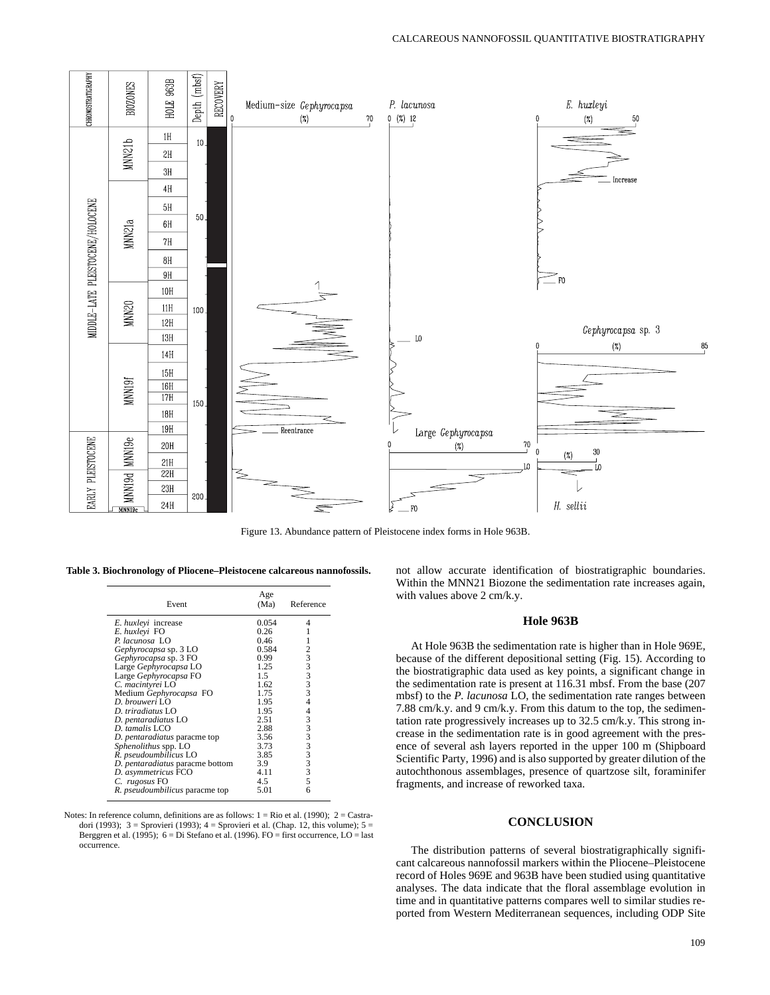

Figure 13. Abundance pattern of Pleistocene index forms in Hole 963B.

**Table 3. Biochronology of Pliocene–Pleistocene calcareous nannofossils.**

| Event                                 | Age<br>(Ma)   | Reference                                      |
|---------------------------------------|---------------|------------------------------------------------|
| E. huxleyi increase                   | 0.054         | 4                                              |
| E. huxleyi FO                         | 0.26          |                                                |
| P. lacunosa LO                        | 0.46          |                                                |
| Gephyrocapsa sp. 3 LO                 | 0.584         |                                                |
| Gephyrocapsa sp. 3 FO                 | 0.99          | 3                                              |
| Large Gephyrocapsa LO                 | 1.25          |                                                |
| Large Gephyrocapsa FO                 | $1.5^{\circ}$ | $33$<br>3                                      |
| C. macintyrei LO                      | 1.62          |                                                |
| Medium Gephyrocapsa FO                | 1.75          | $\overline{3}$                                 |
| D. brouweri LO                        | 1.95          | 4                                              |
| $D. triradiatus$ I.O                  | 1.95          | 4                                              |
| D. pentaradiatus LO                   | 2.51          |                                                |
| D. tamalis LCO                        | 2.88          |                                                |
| D. pentaradiatus paracme top          | 3.56          | $\begin{array}{c}\n33 \\ 33 \\ 3\n\end{array}$ |
| Sphenolithus spp. LO                  | 3.73          |                                                |
| R. pseudoumbilicus LO                 | 3.85          |                                                |
| D. pentaradiatus paracme bottom       | 3.9           | 3                                              |
| D. asymmetricus FCO                   | 4.11          | 3                                              |
| C. rugosus FO                         | 4.5           | 5                                              |
| R. <i>pseudoumbilicus</i> paracme top | 5.01          | 6                                              |

Notes: In reference column, definitions are as follows:  $1 = \text{Rio et al.}$  (1990);  $2 = \text{Castr}$ dori (1993);  $3 =$  Sprovieri (1993);  $4 =$  Sprovieri et al. (Chap. 12, this volume);  $5 =$ Berggren et al. (1995); 6 = Di Stefano et al. (1996). FO = first occurrence, LO = last occurrence.

not allow accurate identification of biostratigraphic boundaries. Within the MNN21 Biozone the sedimentation rate increases again, with values above 2 cm/k.y.

### **Hole 963B**

At Hole 963B the sedimentation rate is higher than in Hole 969E, because of the different depositional setting (Fig. 15). According to the biostratigraphic data used as key points, a significant change in the sedimentation rate is present at 116.31 mbsf. From the base (207 mbsf) to the *P. lacunosa* LO, the sedimentation rate ranges between 7.88 cm/k.y. and 9 cm/k.y. From this datum to the top, the sedimentation rate progressively increases up to 32.5 cm/k.y. This strong increase in the sedimentation rate is in good agreement with the presence of several ash layers reported in the upper 100 m (Shipboard Scientific Party, 1996) and is also supported by greater dilution of the autochthonous assemblages, presence of quartzose silt, foraminifer fragments, and increase of reworked taxa.

# **CONCLUSION**

The distribution patterns of several biostratigraphically significant calcareous nannofossil markers within the Pliocene–Pleistocene record of Holes 969E and 963B have been studied using quantitative analyses. The data indicate that the floral assemblage evolution in time and in quantitative patterns compares well to similar studies reported from Western Mediterranean sequences, including ODP Site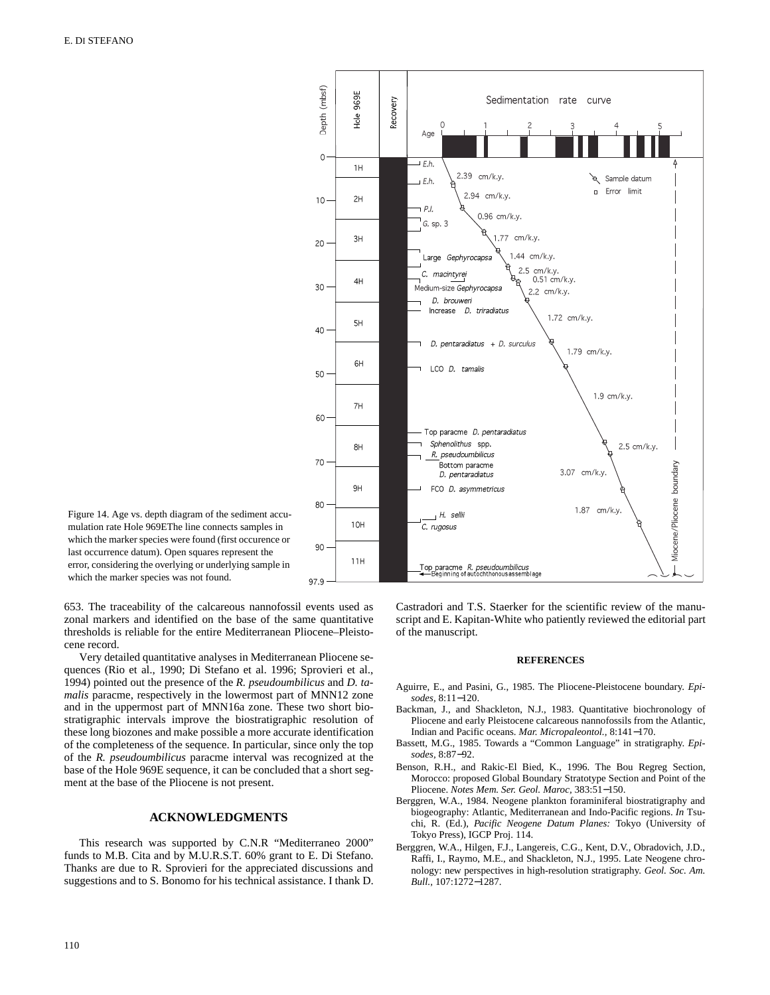

Figure 14. Age vs. depth diagram of the sediment accumulation rate Hole 969EThe line connects samples in which the marker species were found (first occurence or last occurrence datum). Open squares represent the error, considering the overlying or underlying sample in which the marker species was not found.

653. The traceability of the calcareous nannofossil events used as zonal markers and identified on the base of the same quantitative thresholds is reliable for the entire Mediterranean Pliocene–Pleistocene record.

Very detailed quantitative analyses in Mediterranean Pliocene sequences (Rio et al., 1990; Di Stefano et al. 1996; Sprovieri et al., 1994) pointed out the presence of the *R. pseudoumbilicus* and *D. tamalis* paracme, respectively in the lowermost part of MNN12 zone and in the uppermost part of MNN16a zone. These two short biostratigraphic intervals improve the biostratigraphic resolution of these long biozones and make possible a more accurate identification of the completeness of the sequence. In particular, since only the top of the *R. pseudoumbilicus* paracme interval was recognized at the base of the Hole 969E sequence, it can be concluded that a short segment at the base of the Pliocene is not present.

# **ACKNOWLEDGMENTS**

This research was supported by C.N.R "Mediterraneo 2000" funds to M.B. Cita and by M.U.R.S.T. 60% grant to E. Di Stefano. Thanks are due to R. Sprovieri for the appreciated discussions and suggestions and to S. Bonomo for his technical assistance. I thank D. Castradori and T.S. Staerker for the scientific review of the manuscript and E. Kapitan-White who patiently reviewed the editorial part of the manuscript.

#### **REFERENCES**

- Aguirre, E., and Pasini, G., 1985. The Pliocene-Pleistocene boundary. *Episodes,* 8:11−120.
- Backman, J., and Shackleton, N.J., 1983. Quantitative biochronology of Pliocene and early Pleistocene calcareous nannofossils from the Atlantic, Indian and Pacific oceans. *Mar. Micropaleontol.,* 8:141−170.
- Bassett, M.G., 1985. Towards a "Common Language" in stratigraphy. *Episodes,* 8:87−92.
- Benson, R.H., and Rakic-El Bied, K., 1996. The Bou Regreg Section, Morocco: proposed Global Boundary Stratotype Section and Point of the Pliocene. *Notes Mem. Ser. Geol. Maroc,* 383:51−150.
- Berggren, W.A., 1984. Neogene plankton foraminiferal biostratigraphy and biogeography: Atlantic, Mediterranean and Indo-Pacific regions. *In* Tsuchi, R. (Ed.), *Pacific Neogene Datum Planes:* Tokyo (University of Tokyo Press), IGCP Proj. 114.
- Berggren, W.A., Hilgen, F.J., Langereis, C.G., Kent, D.V., Obradovich, J.D., Raffi, I., Raymo, M.E., and Shackleton, N.J., 1995. Late Neogene chronology: new perspectives in high-resolution stratigraphy. *Geol. Soc. Am. Bull.,* 107:1272−1287.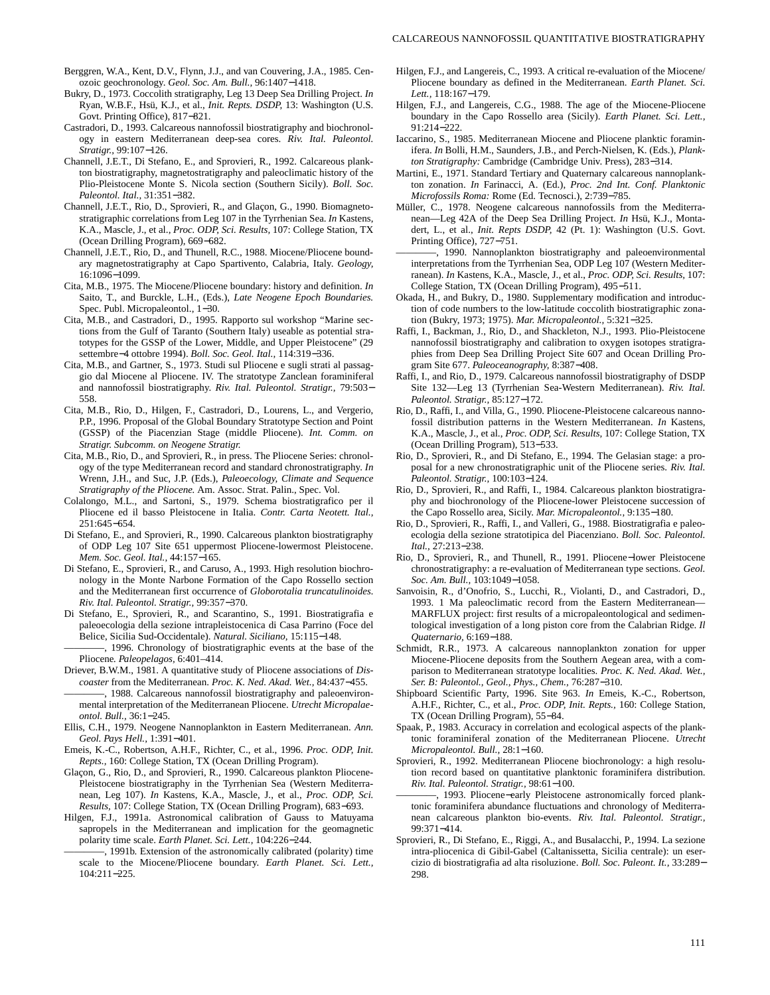- Berggren, W.A., Kent, D.V., Flynn, J.J., and van Couvering, J.A., 1985. Cenozoic geochronology. *Geol. Soc. Am. Bull.,* 96:1407−1418.
- Bukry, D., 1973. Coccolith stratigraphy, Leg 13 Deep Sea Drilling Project. *In* Ryan, W.B.F., Hsü, K.J., et al., *Init. Repts. DSDP,* 13: Washington (U.S. Govt. Printing Office), 817−821.
- Castradori, D., 1993. Calcareous nannofossil biostratigraphy and biochronology in eastern Mediterranean deep-sea cores. *Riv. Ital. Paleontol. Stratigr.,* 99:107−126.
- Channell, J.E.T., Di Stefano, E., and Sprovieri, R., 1992. Calcareous plankton biostratigraphy, magnetostratigraphy and paleoclimatic history of the Plio-Pleistocene Monte S. Nicola section (Southern Sicily). *Boll. Soc. Paleontol. Ital.,* 31:351−382.
- Channell, J.E.T., Rio, D., Sprovieri, R., and Glaçon, G., 1990. Biomagnetostratigraphic correlations from Leg 107 in the Tyrrhenian Sea. *In* Kastens, K.A., Mascle, J., et al., *Proc. ODP, Sci. Results,* 107: College Station, TX (Ocean Drilling Program), 669−682.
- Channell, J.E.T., Rio, D., and Thunell, R.C., 1988. Miocene/Pliocene boundary magnetostratigraphy at Capo Spartivento, Calabria, Italy. *Geology,* 16:1096−1099.
- Cita, M.B., 1975. The Miocene/Pliocene boundary: history and definition. *In* Saito, T., and Burckle, L.H., (Eds.), *Late Neogene Epoch Boundaries.* Spec. Publ. Micropaleontol., 1−30.
- Cita, M.B., and Castradori, D., 1995. Rapporto sul workshop "Marine sections from the Gulf of Taranto (Southern Italy) useable as potential stratotypes for the GSSP of the Lower, Middle, and Upper Pleistocene" (29 settembre−4 ottobre 1994). *Boll. Soc. Geol. Ital.,* 114:319−336.
- Cita, M.B., and Gartner, S., 1973. Studi sul Pliocene e sugli strati al passaggio dal Miocene al Pliocene. IV. The stratotype Zanclean foraminiferal and nannofossil biostratigraphy. *Riv. Ital. Paleontol. Stratigr.,* 79:503− 558.
- Cita, M.B., Rio, D., Hilgen, F., Castradori, D., Lourens, L., and Vergerio, P.P., 1996. Proposal of the Global Boundary Stratotype Section and Point (GSSP) of the Piacenzian Stage (middle Pliocene). *Int. Comm. on Stratigr. Subcomm. on Neogene Stratigr.*
- Cita, M.B., Rio, D., and Sprovieri, R., in press. The Pliocene Series: chronology of the type Mediterranean record and standard chronostratigraphy. *In* Wrenn, J.H., and Suc, J.P. (Eds.), *Paleoecology, Climate and Sequence Stratigraphy of the Pliocene.* Am. Assoc. Strat. Palin., Spec. Vol.
- Colalongo, M.L., and Sartoni, S., 1979. Schema biostratigrafico per il Pliocene ed il basso Pleistocene in Italia. *Contr. Carta Neotett. Ital.,* 251:645−654.
- Di Stefano, E., and Sprovieri, R., 1990. Calcareous plankton biostratigraphy of ODP Leg 107 Site 651 uppermost Pliocene-lowermost Pleistocene. *Mem. Soc. Geol. Ital.,* 44:157−165.
- Di Stefano, E., Sprovieri, R., and Caruso, A., 1993. High resolution biochronology in the Monte Narbone Formation of the Capo Rossello section and the Mediterranean first occurrence of *Globorotalia truncatulinoides. Riv. Ital. Paleontol. Stratigr.,* 99:357−370.
- Di Stefano, E., Sprovieri, R., and Scarantino, S., 1991. Biostratigrafia e paleoecologia della sezione intrapleistocenica di Casa Parrino (Foce del Belice, Sicilia Sud-Occidentale). *Natural. Siciliano,* 15:115−148.
- -, 1996. Chronology of biostratigraphic events at the base of the Pliocene*. Paleopelagos,* 6:401–414.
- Driever, B.W.M., 1981. A quantitative study of Pliocene associations of *Discoaster* from the Mediterranean. *Proc. K. Ned. Akad. Wet.,* 84:437−455. -, 1988. Calcareous nannofossil biostratigraphy and paleoenvironmental interpretation of the Mediterranean Pliocene. *Utrecht Micropalae-*
- *ontol. Bull.,* 36:1−245. Ellis, C.H., 1979. Neogene Nannoplankton in Eastern Mediterranean. *Ann.*
- *Geol. Pays Hell.,* 1:391−401.
- Emeis, K.-C., Robertson, A.H.F., Richter, C., et al., 1996. *Proc. ODP, Init. Repts.,* 160: College Station, TX (Ocean Drilling Program).
- Glaçon, G., Rio, D., and Sprovieri, R., 1990. Calcareous plankton Pliocene-Pleistocene biostratigraphy in the Tyrrhenian Sea (Western Mediterranean, Leg 107). *In* Kastens, K.A., Mascle, J., et al., *Proc. ODP, Sci. Results,* 107: College Station, TX (Ocean Drilling Program), 683−693.
- Hilgen, F.J., 1991a. Astronomical calibration of Gauss to Matuyama sapropels in the Mediterranean and implication for the geomagnetic polarity time scale. *Earth Planet. Sci. Lett.,* 104:226−244.
- -, 1991b. Extension of the astronomically calibrated (polarity) time scale to the Miocene/Pliocene boundary. *Earth Planet. Sci. Lett.,* 104:211−225.
- Hilgen, F.J., and Langereis, C., 1993. A critical re-evaluation of the Miocene/ Pliocene boundary as defined in the Mediterranean. *Earth Planet. Sci. Lett.,* 118:167−179.
- Hilgen, F.J., and Langereis, C.G., 1988. The age of the Miocene-Pliocene boundary in the Capo Rossello area (Sicily). *Earth Planet. Sci. Lett.,* 91:214−222.
- Iaccarino, S., 1985. Mediterranean Miocene and Pliocene planktic foraminifera. *In* Bolli, H.M., Saunders, J.B., and Perch-Nielsen, K. (Eds.), *Plankton Stratigraphy:* Cambridge (Cambridge Univ. Press), 283−314.
- Martini, E., 1971. Standard Tertiary and Quaternary calcareous nannoplankton zonation. *In* Farinacci, A. (Ed.), *Proc. 2nd Int. Conf. Planktonic Microfossils Roma:* Rome (Ed. Tecnosci.), 2:739−785.
- Müller, C., 1978. Neogene calcareous nannofossils from the Mediterranean—Leg 42A of the Deep Sea Drilling Project. *In* Hsü, K.J., Montadert, L., et al., *Init. Repts DSDP,* 42 (Pt. 1): Washington (U.S. Govt. Printing Office), 727−751.
- -, 1990. Nannoplankton biostratigraphy and paleoenvironmental interpretations from the Tyrrhenian Sea, ODP Leg 107 (Western Mediterranean). *In* Kastens, K.A., Mascle, J., et al., *Proc. ODP, Sci. Results,* 107: College Station, TX (Ocean Drilling Program), 495−511.
- Okada, H., and Bukry, D., 1980. Supplementary modification and introduction of code numbers to the low-latitude coccolith biostratigraphic zonation (Bukry, 1973; 1975). *Mar. Micropaleontol.,* 5:321−325.
- Raffi, I., Backman, J., Rio, D., and Shackleton, N.J., 1993. Plio-Pleistocene nannofossil biostratigraphy and calibration to oxygen isotopes stratigraphies from Deep Sea Drilling Project Site 607 and Ocean Drilling Program Site 677. *Paleoceanography,* 8:387−408.
- Raffi, I., and Rio, D., 1979. Calcareous nannofossil biostratigraphy of DSDP Site 132—Leg 13 (Tyrrhenian Sea-Western Mediterranean). *Riv. Ital. Paleontol. Stratigr.,* 85:127−172.
- Rio, D., Raffi, I., and Villa, G., 1990. Pliocene-Pleistocene calcareous nannofossil distribution patterns in the Western Mediterranean. *In* Kastens, K.A., Mascle, J., et al., *Proc. ODP, Sci. Results,* 107: College Station, TX (Ocean Drilling Program), 513−533.
- Rio, D., Sprovieri, R., and Di Stefano, E., 1994. The Gelasian stage: a proposal for a new chronostratigraphic unit of the Pliocene series. *Riv. Ital. Paleontol. Stratigr.,* 100:103−124.
- Rio, D., Sprovieri, R., and Raffi, I., 1984. Calcareous plankton biostratigraphy and biochronology of the Pliocene-lower Pleistocene succession of the Capo Rossello area, Sicily. *Mar. Micropaleontol.,* 9:135−180.
- Rio, D., Sprovieri, R., Raffi, I., and Valleri, G., 1988. Biostratigrafia e paleoecologia della sezione stratotipica del Piacenziano. *Boll. Soc. Paleontol. Ital.,* 27:213−238.
- Rio, D., Sprovieri, R., and Thunell, R., 1991. Pliocene−lower Pleistocene chronostratigraphy: a re-evaluation of Mediterranean type sections. *Geol. Soc. Am. Bull.,* 103:1049−1058.
- Sanvoisin, R., d'Onofrio, S., Lucchi, R., Violanti, D., and Castradori, D., 1993. 1 Ma paleoclimatic record from the Eastern Mediterranean— MARFLUX project: first results of a micropaleontological and sedimentological investigation of a long piston core from the Calabrian Ridge. *Il Quaternario,* 6:169−188.
- Schmidt, R.R., 1973. A calcareous nannoplankton zonation for upper Miocene-Pliocene deposits from the Southern Aegean area, with a comparison to Mediterranean stratotype localities. *Proc. K. Ned. Akad. Wet., Ser. B: Paleontol., Geol., Phys., Chem.,* 76:287−310.
- Shipboard Scientific Party, 1996. Site 963. *In* Emeis, K.-C., Robertson, A.H.F., Richter, C., et al., *Proc. ODP, Init. Repts.,* 160: College Station, TX (Ocean Drilling Program), 55−84.
- Spaak, P., 1983. Accuracy in correlation and ecological aspects of the planktonic foraminiferal zonation of the Mediterranean Pliocene. *Utrecht Micropaleontol. Bull.,* 28:1−160.
- Sprovieri, R., 1992. Mediterranean Pliocene biochronology: a high resolution record based on quantitative planktonic foraminifera distribution. *Riv. Ital. Paleontol. Stratigr.,* 98:61−100.
- 1993. Pliocene–early Pleistocene astronomically forced planktonic foraminifera abundance fluctuations and chronology of Mediterranean calcareous plankton bio-events. *Riv. Ital. Paleontol. Stratigr.,* 99:371−414.
- Sprovieri, R., Di Stefano, E., Riggi, A., and Busalacchi, P., 1994. La sezione intra-pliocenica di Gibil-Gabel (Caltanissetta, Sicilia centrale): un esercizio di biostratigrafia ad alta risoluzione. *Boll. Soc. Paleont. It.,* 33:289− 298.